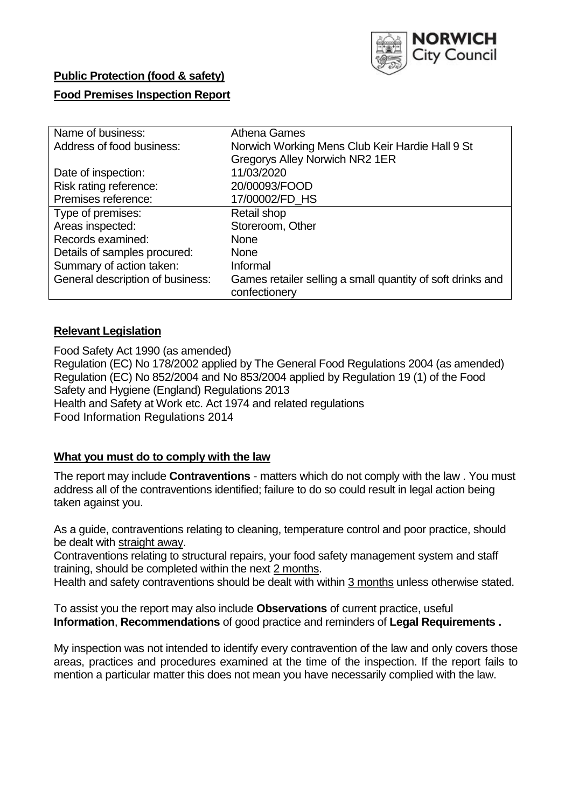

# **Public Protection (food & safety)**

## **Food Premises Inspection Report**

| Name of business:                | Athena Games                                               |  |  |  |  |
|----------------------------------|------------------------------------------------------------|--|--|--|--|
| Address of food business:        | Norwich Working Mens Club Keir Hardie Hall 9 St            |  |  |  |  |
|                                  | <b>Gregorys Alley Norwich NR2 1ER</b>                      |  |  |  |  |
| Date of inspection:              | 11/03/2020                                                 |  |  |  |  |
| Risk rating reference:           | 20/00093/FOOD                                              |  |  |  |  |
| Premises reference:              | 17/00002/FD_HS                                             |  |  |  |  |
| Type of premises:                | Retail shop                                                |  |  |  |  |
| Areas inspected:                 | Storeroom, Other                                           |  |  |  |  |
| Records examined:                | <b>None</b>                                                |  |  |  |  |
| Details of samples procured:     | <b>None</b>                                                |  |  |  |  |
| Summary of action taken:         | Informal                                                   |  |  |  |  |
| General description of business: | Games retailer selling a small quantity of soft drinks and |  |  |  |  |
|                                  | confectionery                                              |  |  |  |  |

## **Relevant Legislation**

Food Safety Act 1990 (as amended) Regulation (EC) No 178/2002 applied by The General Food Regulations 2004 (as amended) Regulation (EC) No 852/2004 and No 853/2004 applied by Regulation 19 (1) of the Food Safety and Hygiene (England) Regulations 2013 Health and Safety at Work etc. Act 1974 and related regulations Food Information Regulations 2014

## **What you must do to comply with the law**

The report may include **Contraventions** - matters which do not comply with the law . You must address all of the contraventions identified; failure to do so could result in legal action being taken against you.

As a guide, contraventions relating to cleaning, temperature control and poor practice, should be dealt with straight away.

Contraventions relating to structural repairs, your food safety management system and staff training, should be completed within the next 2 months.

Health and safety contraventions should be dealt with within 3 months unless otherwise stated.

To assist you the report may also include **Observations** of current practice, useful **Information**, **Recommendations** of good practice and reminders of **Legal Requirements .**

My inspection was not intended to identify every contravention of the law and only covers those areas, practices and procedures examined at the time of the inspection. If the report fails to mention a particular matter this does not mean you have necessarily complied with the law.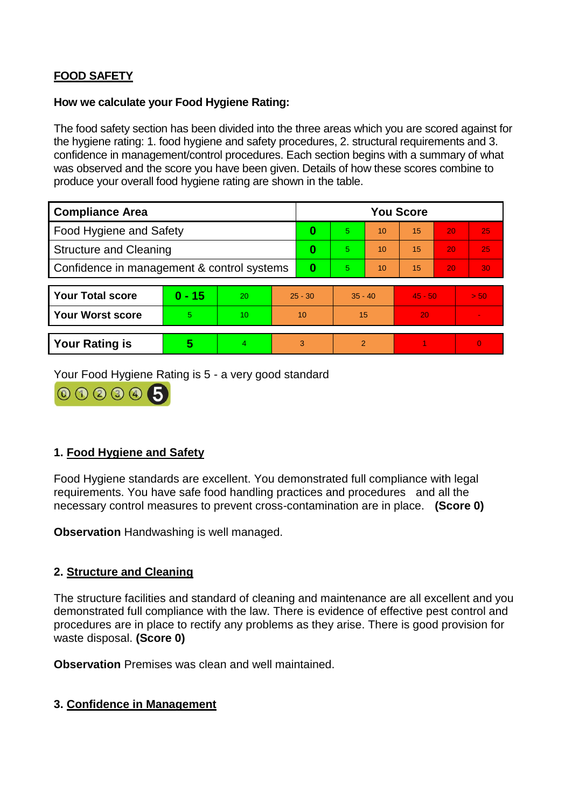# **FOOD SAFETY**

#### **How we calculate your Food Hygiene Rating:**

The food safety section has been divided into the three areas which you are scored against for the hygiene rating: 1. food hygiene and safety procedures, 2. structural requirements and 3. confidence in management/control procedures. Each section begins with a summary of what was observed and the score you have been given. Details of how these scores combine to produce your overall food hygiene rating are shown in the table.

| <b>Compliance Area</b>                     |          |                  |           | <b>You Score</b> |               |    |           |    |          |  |  |
|--------------------------------------------|----------|------------------|-----------|------------------|---------------|----|-----------|----|----------|--|--|
| Food Hygiene and Safety                    |          |                  |           | $\bf{0}$         | 5             | 10 | 15        | 20 | 25       |  |  |
| <b>Structure and Cleaning</b>              |          |                  | 0         | 5                | 10            | 15 | 20        | 25 |          |  |  |
| Confidence in management & control systems |          |                  | $\bf{0}$  | 5                | 10            | 15 | 20        | 30 |          |  |  |
|                                            |          |                  |           |                  |               |    |           |    |          |  |  |
| <b>Your Total score</b>                    | $0 - 15$ | 20               | $25 - 30$ |                  | $35 - 40$     |    | $45 - 50$ |    | > 50     |  |  |
| <b>Your Worst score</b>                    | 5        | 10 <sup>10</sup> | 10        |                  | 15            |    | 20        |    |          |  |  |
|                                            |          |                  |           |                  |               |    |           |    |          |  |  |
| <b>Your Rating is</b>                      | 5        | 4                |           | 3                | $\mathcal{P}$ |    |           |    | $\Omega$ |  |  |

Your Food Hygiene Rating is 5 - a very good standard



# **1. Food Hygiene and Safety**

Food Hygiene standards are excellent. You demonstrated full compliance with legal requirements. You have safe food handling practices and procedures and all the necessary control measures to prevent cross-contamination are in place. **(Score 0)**

**Observation** Handwashing is well managed.

# **2. Structure and Cleaning**

The structure facilities and standard of cleaning and maintenance are all excellent and you demonstrated full compliance with the law. There is evidence of effective pest control and procedures are in place to rectify any problems as they arise. There is good provision for waste disposal. **(Score 0)**

**Observation** Premises was clean and well maintained.

## **3. Confidence in Management**